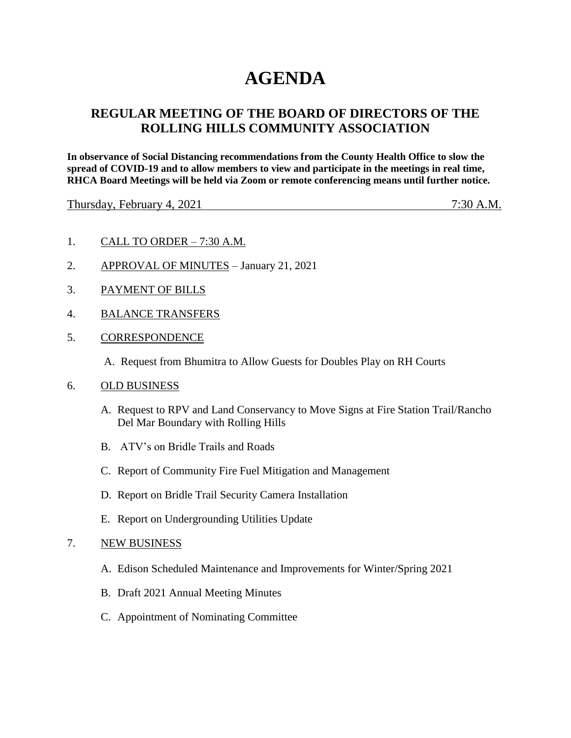# **AGENDA**

## **REGULAR MEETING OF THE BOARD OF DIRECTORS OF THE ROLLING HILLS COMMUNITY ASSOCIATION**

**In observance of Social Distancing recommendations from the County Health Office to slow the spread of COVID-19 and to allow members to view and participate in the meetings in real time, RHCA Board Meetings will be held via Zoom or remote conferencing means until further notice.** 

Thursday, February 4, 2021 7:30 A.M.

- 1. CALL TO ORDER 7:30 A.M.
- 2. APPROVAL OF MINUTES January 21, 2021
- 3. PAYMENT OF BILLS
- 4. BALANCE TRANSFERS
- 5. CORRESPONDENCE
	- A. Request from Bhumitra to Allow Guests for Doubles Play on RH Courts
- 6. OLD BUSINESS
	- A. Request to RPV and Land Conservancy to Move Signs at Fire Station Trail/Rancho Del Mar Boundary with Rolling Hills
	- B. ATV's on Bridle Trails and Roads
	- C. Report of Community Fire Fuel Mitigation and Management
	- D. Report on Bridle Trail Security Camera Installation
	- E. Report on Undergrounding Utilities Update
- 7. NEW BUSINESS
	- A. Edison Scheduled Maintenance and Improvements for Winter/Spring 2021
	- B. Draft 2021 Annual Meeting Minutes
	- C. Appointment of Nominating Committee